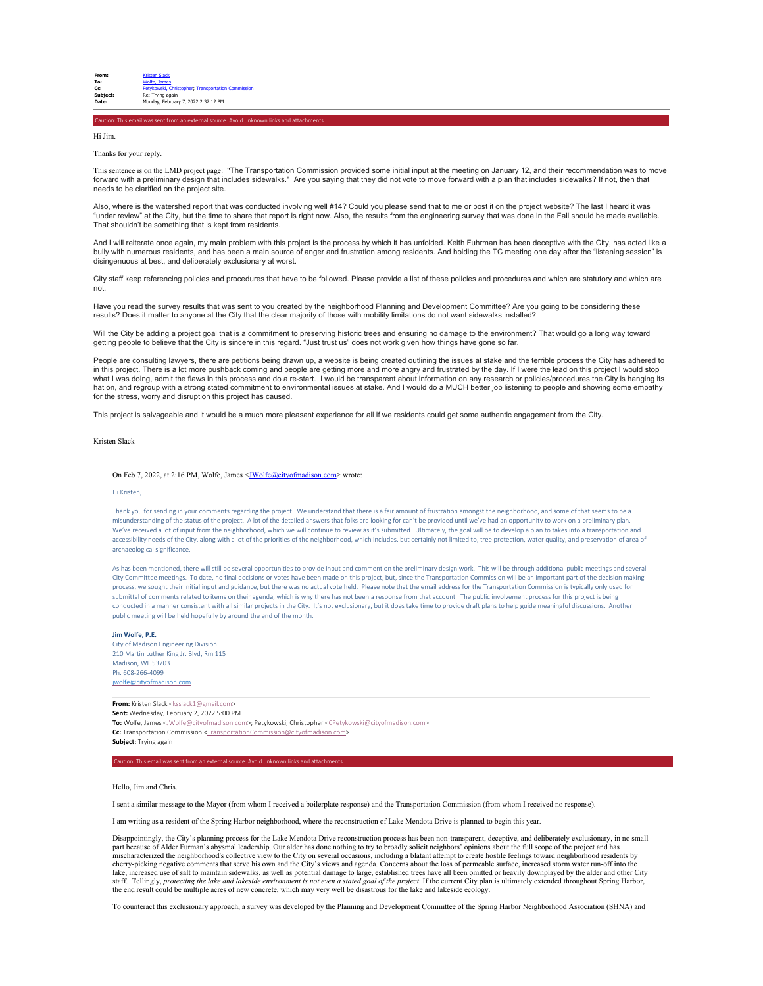Caution: This email was sent from an external source. Avoid unknown links and attachments.

Hi Jim.

Thanks for your reply.

This sentence is on the LMD project page: "The Transportation Commission provided some initial input at the meeting on January 12, and their recommendation was to move forward with a preliminary design that includes sidewalks." Are you saying that they did not vote to move forward with a plan that includes sidewalks? If not, then that needs to be clarified on the project site.

Also, where is the watershed report that was conducted involving well #14? Could you please send that to me or post it on the project website? The last I heard it was "under review" at the City, but the time to share that report is right now. Also, the results from the engineering survey that was done in the Fall should be made available. That shouldn't be something that is kept from residents.

And I will reiterate once again, my main problem with this project is the process by which it has unfolded. Keith Fuhrman has been deceptive with the City, has acted like a bully with numerous residents, and has been a main source of anger and frustration among residents. And holding the TC meeting one day after the "listening session" is disingenuous at best, and deliberately exclusionary at worst.

City staff keep referencing policies and procedures that have to be followed. Please provide a list of these policies and procedures and which are statutory and which are not.

Have you read the survey results that was sent to you created by the neighborhood Planning and Development Committee? Are you going to be considering these results? Does it matter to anyone at the City that the clear majority of those with mobility limitations do not want sidewalks installed?

Will the City be adding a project goal that is a commitment to preserving historic trees and ensuring no damage to the environment? That would go a long way toward getting people to believe that the City is sincere in this regard. "Just trust us" does not work given how things have gone so far.

People are consulting lawyers, there are petitions being drawn up, a website is being created outlining the issues at stake and the terrible process the City has adhered to in this project. There is a lot more pushback coming and people are getting more and more angry and frustrated by the day. If I were the lead on this project I would stop<br>what I was doing, admit the flaws in this process a hat on, and regroup with a strong stated commitment to environmental issues at stake. And I would do a MUCH better job listening to people and showing some empathy for the stress, worry and disruption this project has caused.

This project is salvageable and it would be a much more pleasant experience for all if we residents could get some authentic engagement from the City.

## Kristen Slack

On Feb 7, 2022, at 2:16 PM, Wolfe, James <[JWolfe@cityofmadison.com](mailto:JWolfe@cityofmadison.com)> wrote:

### Hi Kristen,

Thank you for sending in your comments regarding the project. We understand that there is a fair amount of frustration amongst the neighborhood, and some of that seems to be a misunderstanding of the status of the project. A lot of the detailed answers that folks are looking for can't be provided until we've had an opportunity to work on a preliminary plan. We've received a lot of input from the neighborhood, which we will continue to review as it's submitted. Ultimately, the goal will be to develop a plan to takes into a transportation and accessibility needs of the City, along with a lot of the priorities of the neighborhood, which includes, but certainly not limited to, tree protection, water quality, and preservation of area of archaeological significance.

As has been mentioned, there will still be several opportunities to provide input and comment on the preliminary design work. This will be through additional public meetings and several City Committee meetings. To date, no final decisions or votes have been made on this project, but, since the Transportation Commission will be an important part of the decision making process, we sought their initial input and guidance, but there was no actual vote held. Please note that the email address for the Transportation Commission is typically only used for submittal of comments related to items on their agenda, which is why there has not been a response from that account. The public involvement process for this project is bein conducted in a manner consistent with all similar projects in the City. It's not exclusionary, but it does take time to provide draft plans to help guide meaningful discussions. Another public meeting will be held hopefully by around the end of the month.

# **Jim Wolfe, P.E.**

City of Madison Engineering Division 210 Martin Luther King Jr. Blvd, Rm 115 Madison, WI 53703 Ph. 608-266-4099 [jwolfe@cityofmadison.com](mailto:jwolfe@cityofmadison.com)

## **From:** Kristen Slack [<ksslack1@gmail.com](mailto:ksslack1@gmail.com)> **Sent:** Wednesday, February 2, 2022 5:00 PM

To: Wolfe, James <*[JWolfe@cityofmadison.com>](mailto:JWolfe@cityofmadison.com)*; Petykowski, Christopher <CPetykowski@cityofmadiso **Cc:** Transportation Commission <TransportationCommission@cityofmadis **Subject:** Trying again

#### Caution: This email was sent from an external source. Avoid unknown links and attachme

Hello, Jim and Chris.

I sent a similar message to the Mayor (from whom I received a boilerplate response) and the Transportation Commission (from whom I received no response).

I am writing as a resident of the Spring Harbor neighborhood, where the reconstruction of Lake Mendota Drive is planned to begin this year.

 Disappointingly, the City's planning process for the Lake Mendota Drive reconstruction process has been non-transparent, deceptive, and deliberately exclusionary, in no small part because of Alder Furman's abysmal leadership. Our alder has done nothing to try to broadly solicit neighbors' opinions about the full scope of the project and has<br>mischaracterized the neighborhood's collective view to cherry-picking negative comments that serve his own and the City's views and agenda. Concerns about the loss of permeable surface, increased storm water run-off into the lake, increased use of salt to maintain sidewalks, as well as potential damage to large, established trees have all been omitted or heavily downplayed by the alder and other City staff. Tellingly, protecting the lake and lakeside environment is not even a stated goal of the project. If the current City plan is ultimately extended throughout Spring Harbor,<br>the end result could be multiple acres of n

To counteract this exclusionary approach, a survey was developed by the Planning and Development Committee of the Spring Harbor Neighborhood Association (SHNA) and